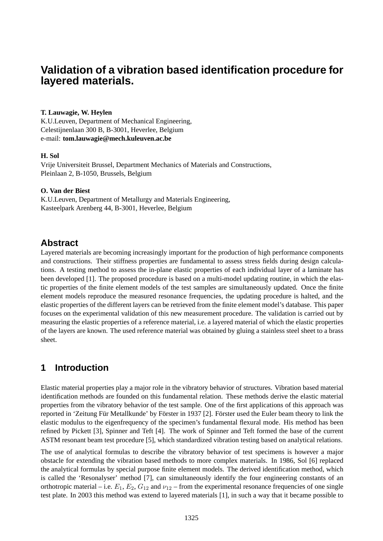# **Validation of a vibration based identification procedure for layered materials.**

## **T. Lauwagie, W. Heylen**

K.U.Leuven, Department of Mechanical Engineering, Celestijnenlaan 300 B, B-3001, Heverlee, Belgium e-mail: **tom.lauwagie@mech.kuleuven.ac.be**

### **H. Sol**

Vrije Universiteit Brussel, Department Mechanics of Materials and Constructions, Pleinlaan 2, B-1050, Brussels, Belgium

## **O. Van der Biest**

K.U.Leuven, Department of Metallurgy and Materials Engineering, Kasteelpark Arenberg 44, B-3001, Heverlee, Belgium

## **Abstract**

Layered materials are becoming increasingly important for the production of high performance components and constructions. Their stiffness properties are fundamental to assess stress fields during design calculations. A testing method to assess the in-plane elastic properties of each individual layer of a laminate has been developed [1]. The proposed procedure is based on a multi-model updating routine, in which the elastic properties of the finite element models of the test samples are simultaneously updated. Once the finite element models reproduce the measured resonance frequencies, the updating procedure is halted, and the elastic properties of the different layers can be retrieved from the finite element model's database. This paper focuses on the experimental validation of this new measurement procedure. The validation is carried out by measuring the elastic properties of a reference material, i.e. a layered material of which the elastic properties of the layers are known. The used reference material was obtained by gluing a stainless steel sheet to a brass sheet.

# **1 Introduction**

Elastic material properties play a major role in the vibratory behavior of structures. Vibration based material identification methods are founded on this fundamental relation. These methods derive the elastic material properties from the vibratory behavior of the test sample. One of the first applications of this approach was reported in 'Zeitung Für Metallkunde' by Förster in 1937 [2]. Förster used the Euler beam theory to link the elastic modulus to the eigenfrequency of the specimen's fundamental flexural mode. His method has been refined by Pickett [3], Spinner and Teft [4]. The work of Spinner and Teft formed the base of the current ASTM resonant beam test procedure [5], which standardized vibration testing based on analytical relations.

The use of analytical formulas to describe the vibratory behavior of test specimens is however a major obstacle for extending the vibration based methods to more complex materials. In 1986, Sol [6] replaced the analytical formulas by special purpose finite element models. The derived identification method, which is called the 'Resonalyser' method [7], can simultaneously identify the four engineering constants of an orthotropic material – i.e.  $E_1$ ,  $E_2$ ,  $G_{12}$  and  $\nu_{12}$  – from the experimental resonance frequencies of one single test plate. In 2003 this method was extend to layered materials [1], in such a way that it became possible to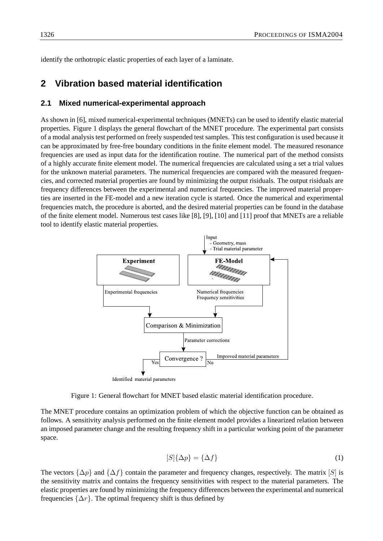identify the orthotropic elastic properties of each layer of a laminate.

## **2 Vibration based material identification**

### **2.1 Mixed numerical-experimental approach**

As shown in [6], mixed numerical-experimental techniques (MNETs) can be used to identify elastic material properties. Figure 1 displays the general flowchart of the MNET procedure. The experimental part consists of a modal analysis test performed on freely suspended test samples. This test configuration is used because it can be approximated by free-free boundary conditions in the finite element model. The measured resonance frequencies are used as input data for the identification routine. The numerical part of the method consists of a highly accurate finite element model. The numerical frequencies are calculated using a set a trial values for the unknown material parameters. The numerical frequencies are compared with the measured frequencies, and corrected material properties are found by minimizing the output risiduals. The output risiduals are frequency differences between the experimental and numerical frequencies. The improved material properties are inserted in the FE-model and a new iteration cycle is started. Once the numerical and experimental frequencies match, the procedure is aborted, and the desired material properties can be found in the database of the finite element model. Numerous test cases like [8], [9], [10] and [11] proof that MNETs are a reliable tool to identify elastic material properties.



Figure 1: General flowchart for MNET based elastic material identification procedure.

The MNET procedure contains an optimization problem of which the objective function can be obtained as follows. A sensitivity analysis performed on the finite element model provides a linearized relation between an imposed parameter change and the resulting frequency shift in a particular working point of the parameter space.

$$
[S]\{\Delta p\} = \{\Delta f\} \tag{1}
$$

The vectors  $\{\Delta p\}$  and  $\{\Delta f\}$  contain the parameter and frequency changes, respectively. The matrix [S] is the sensitivity matrix and contains the frequency sensitivities with respect to the material parameters. The elastic properties are found by minimizing the frequency differences between the experimental and numerical frequencies  $\{\Delta r\}$ . The optimal frequency shift is thus defined by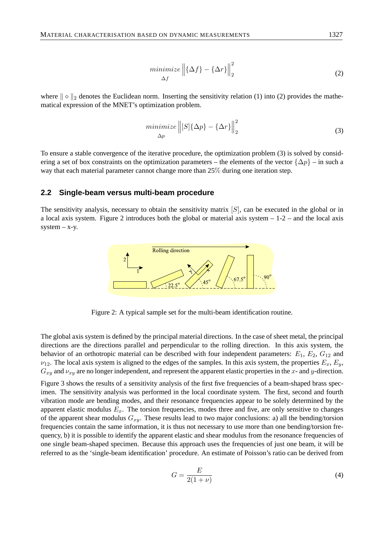$$
\underset{\Delta f}{minimize} \left\| \{ \Delta f \} - \{ \Delta r \} \right\|_{2}^{2} \tag{2}
$$

where  $\|\diamond\|_2$  denotes the Euclidean norm. Inserting the sensitivity relation (1) into (2) provides the mathematical expression of the MNET's optimization problem.

$$
\underset{\Delta p}{minimize} \left\| [S] \{ \Delta p \} - \{ \Delta r \} \right\|_{2}^{2} \tag{3}
$$

To ensure a stable convergence of the iterative procedure, the optimization problem (3) is solved by considering a set of box constraints on the optimization parameters – the elements of the vector  $\{\Delta p\}$  – in such a way that each material parameter cannot change more than 25% during one iteration step.

#### **2.2 Single-beam versus multi-beam procedure**

The sensitivity analysis, necessary to obtain the sensitivity matrix  $[S]$ , can be executed in the global or in a local axis system. Figure 2 introduces both the global or material axis system  $-1-2$  – and the local axis  $system - x-y$ .



Figure 2: A typical sample set for the multi-beam identification routine.

The global axis system is defined by the principal material directions. In the case of sheet metal, the principal directions are the directions parallel and perpendicular to the rolling direction. In this axis system, the behavior of an orthotropic material can be described with four independent parameters:  $E_1$ ,  $E_2$ ,  $G_{12}$  and  $\nu_{12}$ . The local axis system is aligned to the edges of the samples. In this axis system, the properties  $E_x, E_y$ ,  $G_{xy}$  and  $\nu_{xy}$  are no longer independent, and represent the apparent elastic properties in the x- and y-direction.

Figure 3 shows the results of a sensitivity analysis of the first five frequencies of a beam-shaped brass specimen. The sensitivity analysis was performed in the local coordinate system. The first, second and fourth vibration mode are bending modes, and their resonance frequencies appear to be solely determined by the apparent elastic modulus  $E_x$ . The torsion frequencies, modes three and five, are only sensitive to changes of the apparent shear modulus  $G_{xy}$ . These results lead to two major conclusions: a) all the bending/torsion frequencies contain the same information, it is thus not necessary to use more than one bending/torsion frequency, b) it is possible to identify the apparent elastic and shear modulus from the resonance frequencies of one single beam-shaped specimen. Because this approach uses the frequencies of just one beam, it will be referred to as the 'single-beam identification' procedure. An estimate of Poisson's ratio can be derived from

$$
G = \frac{E}{2(1+\nu)}\tag{4}
$$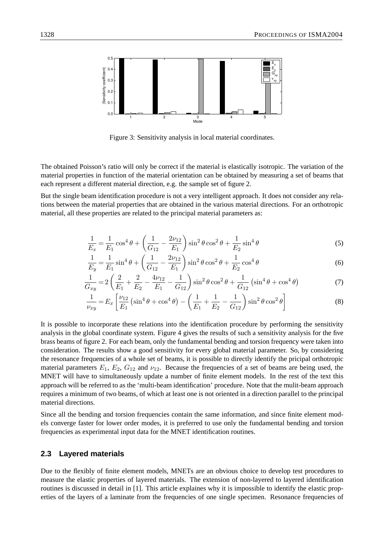

Figure 3: Sensitivity analysis in local material coordinates.

The obtained Poisson's ratio will only be correct if the material is elastically isotropic. The variation of the material properties in function of the material orientation can be obtained by measuring a set of beams that each represent a different material direction, e.g. the sample set of figure 2.

But the single beam identification procedure is not a very intelligent approach. It does not consider any relations between the material properties that are obtained in the various material directions. For an orthotropic material, all these properties are related to the principal material parameters as:

$$
\frac{1}{E_x} = \frac{1}{E_1} \cos^4 \theta + \left(\frac{1}{G_{12}} - \frac{2\nu_{12}}{E_1}\right) \sin^2 \theta \cos^2 \theta + \frac{1}{E_2} \sin^4 \theta \tag{5}
$$

$$
\frac{1}{E_y} = \frac{1}{E_1} \sin^4 \theta + \left(\frac{1}{G_{12}} - \frac{2\nu_{12}}{E_1}\right) \sin^2 \theta \cos^2 \theta + \frac{1}{E_2} \cos^4 \theta \tag{6}
$$

$$
\frac{1}{G_{xy}} = 2\left(\frac{2}{E_1} + \frac{2}{E_2} - \frac{4\nu_{12}}{E_1} - \frac{1}{G_{12}}\right)\sin^2\theta\cos^2\theta + \frac{1}{G_{12}}\left(\sin^4\theta + \cos^4\theta\right) \tag{7}
$$

$$
\frac{1}{\nu_{xy}} = E_x \left[ \frac{\nu_{12}}{E_1} \left( \sin^4 \theta + \cos^4 \theta \right) - \left( \frac{1}{E_1} + \frac{1}{E_2} - \frac{1}{G_{12}} \right) \sin^2 \theta \cos^2 \theta \right]
$$
(8)

It is possible to incorporate these relations into the identification procedure by performing the sensitivity analysis in the global coordinate system. Figure 4 gives the results of such a sensitivity analysis for the five brass beams of figure 2. For each beam, only the fundamental bending and torsion frequency were taken into consideration. The results show a good sensitivity for every global material parameter. So, by considering the resonance frequencies of a whole set of beams, it is possible to directly identify the pricipal orthotropic material parameters  $E_1$ ,  $E_2$ ,  $G_{12}$  and  $\nu_{12}$ . Because the frequencies of a set of beams are being used, the MNET will have to simultaneously update a number of finite element models. In the rest of the text this approach will be referred to as the 'multi-beam identification' procedure. Note that the mulit-beam approach requires a minimum of two beams, of which at least one is not oriented in a direction parallel to the principal material directions.

Since all the bending and torsion frequencies contain the same information, and since finite element models converge faster for lower order modes, it is preferred to use only the fundamental bending and torsion frequencies as experimental input data for the MNET identification routines.

#### **2.3 Layered materials**

Due to the flexibly of finite element models, MNETs are an obvious choice to develop test procedures to measure the elastic properties of layered materials. The extension of non-layered to layered identification routines is discussed in detail in [1]. This article explaines why it is impossible to identify the elastic properties of the layers of a laminate from the frequencies of one single specimen. Resonance frequencies of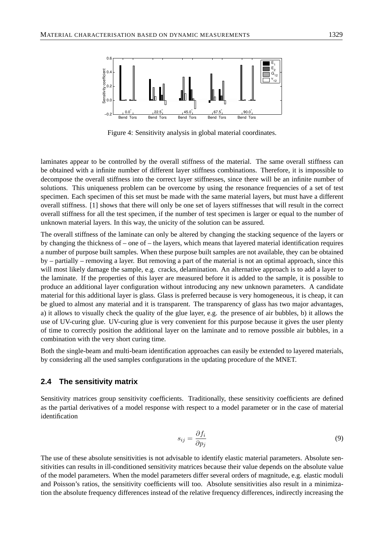

Figure 4: Sensitivity analysis in global material coordinates.

laminates appear to be controlled by the overall stiffness of the material. The same overall stiffness can be obtained with a infinite number of different layer stiffness combinations. Therefore, it is impossible to decompose the overall stiffness into the correct layer stiffnesses, since there will be an infinite number of solutions. This uniqueness problem can be overcome by using the resonance frequencies of a set of test specimen. Each specimen of this set must be made with the same material layers, but must have a different overall stiffness. [1] shows that there will only be one set of layers stiffnesses that will result in the correct overall stiffness for all the test specimen, if the number of test specimen is larger or equal to the number of unknown material layers. In this way, the unicity of the solution can be assured.

The overall stiffness of the laminate can only be altered by changing the stacking sequence of the layers or by changing the thickness of – one of – the layers, which means that layered material identification requires a number of purpose built samples. When these purpose built samples are not available, they can be obtained by – partially – removing a layer. But removing a part of the material is not an optimal approach, since this will most likely damage the sample, e.g. cracks, delamination. An alternative approach is to add a layer to the laminate. If the properties of this layer are measured before it is added to the sample, it is possible to produce an additional layer configuration without introducing any new unknown parameters. A candidate material for this additional layer is glass. Glass is preferred because is very homogeneous, it is cheap, it can be glued to almost any material and it is transparent. The transparency of glass has two major advantages, a) it allows to visually check the quality of the glue layer, e.g. the presence of air bubbles, b) it allows the use of UV-curing glue. UV-curing glue is very convenient for this purpose because it gives the user plenty of time to correctly position the additional layer on the laminate and to remove possible air bubbles, in a combination with the very short curing time.

Both the single-beam and multi-beam identification approaches can easily be extended to layered materials, by considering all the used samples configurations in the updating procedure of the MNET.

#### **2.4 The sensitivity matrix**

Sensitivity matrices group sensitivity coefficients. Traditionally, these sensitivity coefficients are defined as the partial derivatives of a model response with respect to a model parameter or in the case of material identification

$$
s_{ij} = \frac{\partial f_i}{\partial p_j} \tag{9}
$$

The use of these absolute sensitivities is not advisable to identify elastic material parameters. Absolute sensitivities can results in ill-conditioned sensitivity matrices because their value depends on the absolute value of the model parameters. When the model parameters differ several orders of magnitude, e.g. elastic moduli and Poisson's ratios, the sensitivity coefficients will too. Absolute sensitivities also result in a minimization the absolute frequency differences instead of the relative frequency differences, indirectly increasing the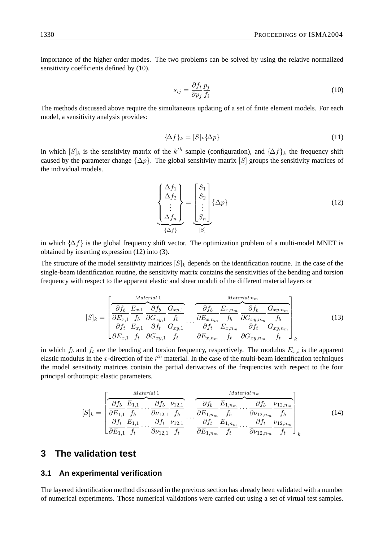importance of the higher order modes. The two problems can be solved by using the relative normalized sensitivity coefficients defined by  $(10)$ .

$$
s_{ij} = \frac{\partial f_i}{\partial p_j} \frac{p_j}{f_i} \tag{10}
$$

The methods discussed above require the simultaneous updating of a set of finite element models. For each model, a sensitivity analysis provides:

$$
\{\Delta f\}_k = [S]_k \{\Delta p\} \tag{11}
$$

in which  $[S]_k$  is the sensitivity matrix of the  $k^{th}$  sample (configuration), and  $\{\Delta f\}_k$  the frequency shift caused by the parameter change  $\{\Delta p\}$ . The global sensitivity matrix [S] groups the sensitivity matrices of the individual models.

$$
\left\{\begin{array}{c}\Delta f_1\\ \Delta f_2\\ \vdots\\ \Delta f_n\end{array}\right\} = \left\{\begin{array}{c}\nS_1\\ S_2\\ \vdots\\ S_n\end{array}\right\} \{\Delta p\}
$$
\n(12)

in which  $\{\Delta f\}$  is the global frequency shift vector. The optimization problem of a multi-model MNET is obtained by inserting expression (12) into (3).

The structure of the model sensitivity matrices  $[S]_k$  depends on the identification routine. In the case of the single-beam identification routine, the sensitivity matrix contains the sensitivities of the bending and torsion frequency with respect to the apparent elastic and shear moduli of the different material layers or

$$
[S]_k = \begin{bmatrix} \frac{Material}{\partial f_b} & E_{x,1} & \frac{\partial f_b}{\partial G_{xy,1}} & \frac{G_{xy,1}}{f_b} \\ \frac{\partial F_{x,1}}{\partial F_{x,1}} & \frac{\partial f_b}{\partial G_{xy,1}} & \frac{G_{xy,1}}{f_b} \\ \frac{\partial f_t}{\partial E_{x,1}} & \frac{G_{xy,1}}{f_t} & \frac{G_{xy,1}}{G_{xy,1}} & \frac{\partial f_t}{\partial E_{x,n_m}} & \frac{G_{xy,n_m}}{f_t} \\ \frac{\partial f_t}{\partial E_{xy,1}} & \frac{G_{xy,1}}{f_t} & \frac{\partial f_t}{\partial E_{xy,n_m}} & \frac{G_{xy,n_m}}{f_t} & \frac{G_{xy,n_m}}{f_t} \\ \frac{\partial G_{xy,1}}{\partial G_{xy,2}} & \frac{\partial G_{xy,2}}{\partial G_{xy,2}} & \frac{\partial G_{xy,2}}{\partial G_{xy,2}} & \frac{\partial G_{xy,2}}{\partial G_{xy,2}} & \frac{\partial G_{xy,2}}{\partial G_{xy,2}} \\ \frac{\partial G_{xy,2}}{\partial G_{xy,2}} & \frac{\partial G_{xy,2}}{\partial G_{xy,2}} & \frac{\partial G_{xy,2}}{\partial G_{xy,2}} & \frac{\partial G_{xy,2}}{\partial G_{xy,2}} & \frac{\partial G_{xy,2}}{\partial G_{xy,2}} & \frac{\partial G_{xy,2}}{\partial G_{xy,2}} & \frac{\partial G_{xy,2}}{\partial G_{xy,2}} & \frac{\partial G_{xy,2}}{\partial G_{xy,2}} & \frac{\partial G_{xy,2}}{\partial G_{xy,2}} & \frac{\partial G_{xy,2}}{\partial G_{xy,2}} & \frac{\partial G_{xy,2}}{\partial G_{xy,2}} & \frac{\partial G_{xy,2}}{\partial G_{xy,2}} & \frac{\partial G_{xy,2}}{\partial G_{xy,2}} & \frac{\partial G_{xy,2}}{\partial G_{xy,2}} & \frac{\partial G_{xy,2}}{\partial G_{xy,2}} & \frac{\partial G_{xy,2}}{\partial G_{xy,2}} & \frac{\partial G_{xy,2}}{\partial G_{xy,2}} & \frac{\partial G_{xy,2}}{\partial G
$$

in which  $f_b$  and  $f_t$  are the bending and torsion frequency, respectively. The modulus  $E_{x,i}$  is the apparent elastic modulus in the x-direction of the  $i<sup>th</sup>$  material. In the case of the multi-beam identification techniques the model sensitivity matrices contain the partial derivatives of the frequencies with respect to the four principal orthotropic elastic parameters.

$$
[S]_k = \begin{bmatrix} \frac{Material \ 1}{\partial f_b} & \frac{E_{1,1}}{f_b} & \cdots & \frac{\partial f_b}{\partial v_{12,1}} & \frac{V_{12,1}}{f_b} & \cdots & \frac{\partial f_b}{\partial E_{1,n_m}} & \cdots & \frac{\partial f_b}{\partial v_{12,n_m}} & V_{12,n_m} \\ \frac{\partial f_t}{\partial f_t} & E_{1,1} & \cdots & \frac{\partial f_t}{\partial v_{12,1}} & V_{12,1} & \cdots & \frac{\partial f_t}{\partial E_{1,n_m}} & \frac{E_{1,n_m}}{f_t} & \cdots & \frac{\partial f_t}{\partial v_{12,n_m}} & V_{12,n_m} \\ \frac{\partial f_t}{\partial E_{1,1}} & \frac{E_{1,1}}{f_t} & \cdots & \frac{\partial f_t}{\partial v_{12,1}} & V_{12,n_m} & V_{12,n_m} & V_{12,n_m} \end{bmatrix}_k
$$
\n(14)

## **3 The validation test**

### **3.1 An experimental verification**

The layered identification method discussed in the previous section has already been validated with a number of numerical experiments. Those numerical validations were carried out using a set of virtual test samples.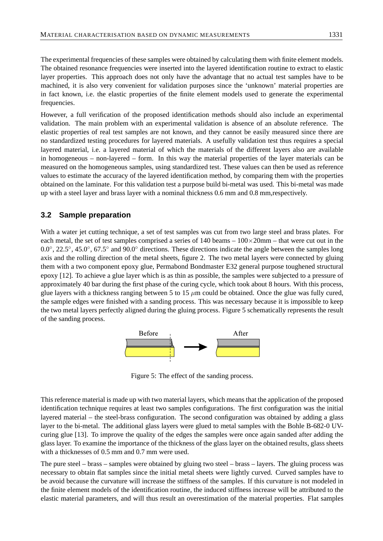The experimental frequencies of these samples were obtained by calculating them with finite element models. The obtained resonance frequencies were inserted into the layered identification routine to extract to elastic layer properties. This approach does not only have the advantage that no actual test samples have to be machined, it is also very convenient for validation purposes since the 'unknown' material properties are in fact known, i.e. the elastic properties of the finite element models used to generate the experimental frequencies.

However, a full verification of the proposed identification methods should also include an experimental validation. The main problem with an experimental validation is absence of an absolute reference. The elastic properties of real test samples are not known, and they cannot be easily measured since there are no standardized testing procedures for layered materials. A usefully validation test thus requires a special layered material, i.e. a layered material of which the materials of the different layers also are available in homogeneous – non-layered – form. In this way the material properties of the layer materials can be measured on the homogeneous samples, using standardized test. These values can then be used as reference values to estimate the accuracy of the layered identification method, by comparing them with the properties obtained on the laminate. For this validation test a purpose build bi-metal was used. This bi-metal was made up with a steel layer and brass layer with a nominal thickness 0.6 mm and 0.8 mm,respectively.

## **3.2 Sample preparation**

With a water jet cutting technique, a set of test samples was cut from two large steel and brass plates. For each metal, the set of test samples comprised a series of  $140$  beams  $-100\times20$ mm – that were cut out in the 0.0<sup>°</sup>, 22.5<sup>°</sup>, 45.0<sup>°</sup>, 67.5<sup>°</sup> and 90.0<sup>°</sup> directions. These directions indicate the angle between the samples long axis and the rolling direction of the metal sheets, figure 2. The two metal layers were connected by gluing them with a two component epoxy glue, Permabond Bondmaster E32 general purpose toughened structural epoxy [12]. To achieve a glue layer which is as thin as possible, the samples were subjected to a pressure of approximately 40 bar during the first phase of the curing cycle, which took about 8 hours. With this process, glue layers with a thickness ranging between 5 to 15  $\mu$ m could be obtained. Once the glue was fully cured, the sample edges were finished with a sanding process. This was necessary because it is impossible to keep the two metal layers perfectly aligned during the gluing process. Figure 5 schematically represents the result of the sanding process.



Figure 5: The effect of the sanding process.

This reference material is made up with two material layers, which means that the application of the proposed identification technique requires at least two samples configurations. The first configuration was the initial layered material – the steel-brass configuration. The second configuration was obtained by adding a glass layer to the bi-metal. The additional glass layers were glued to metal samples with the Bohle B-682-0 UVcuring glue [13]. To improve the quality of the edges the samples were once again sanded after adding the glass layer. To examine the importance of the thickness of the glass layer on the obtained results, glass sheets with a thicknesses of 0.5 mm and 0.7 mm were used.

The pure steel – brass – samples were obtained by gluing two steel – brass – layers. The gluing process was necessary to obtain flat samples since the initial metal sheets were lightly curved. Curved samples have to be avoid because the curvature will increase the stiffness of the samples. If this curvature is not modeled in the finite element models of the identification routine, the induced stiffness increase will be attributed to the elastic material parameters, and will thus result an overestimation of the material properties. Flat samples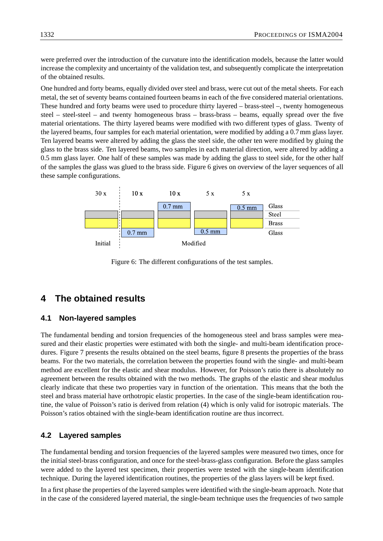were preferred over the introduction of the curvature into the identification models, because the latter would increase the complexity and uncertainty of the validation test, and subsequently complicate the interpretation of the obtained results.

One hundred and forty beams, equally divided over steel and brass, were cut out of the metal sheets. For each metal, the set of seventy beams contained fourteen beams in each of the five considered material orientations. These hundred and forty beams were used to procedure thirty layered – brass-steel –, twenty homogeneous steel – steel-steel – and twenty homogeneous brass – brass-brass – beams, equally spread over the five material orientations. The thirty layered beams were modified with two different types of glass. Twenty of the layered beams, four samples for each material orientation, were modified by adding a 0.7 mm glass layer. Ten layered beams were altered by adding the glass the steel side, the other ten were modified by gluing the glass to the brass side. Ten layered beams, two samples in each material direction, were altered by adding a 0.5 mm glass layer. One half of these samples was made by adding the glass to steel side, for the other half of the samples the glass was glued to the brass side. Figure 6 gives on overview of the layer sequences of all these sample configurations.



Figure 6: The different configurations of the test samples.

## **4 The obtained results**

### **4.1 Non-layered samples**

The fundamental bending and torsion frequencies of the homogeneous steel and brass samples were measured and their elastic properties were estimated with both the single- and multi-beam identification procedures. Figure 7 presents the results obtained on the steel beams, figure 8 presents the properties of the brass beams. For the two materials, the correlation between the properties found with the single- and multi-beam method are excellent for the elastic and shear modulus. However, for Poisson's ratio there is absolutely no agreement between the results obtained with the two methods. The graphs of the elastic and shear modulus clearly indicate that these two properties vary in function of the orientation. This means that the both the steel and brass material have orthotropic elastic properties. In the case of the single-beam identification routine, the value of Poisson's ratio is derived from relation (4) which is only valid for isotropic materials. The Poisson's ratios obtained with the single-beam identification routine are thus incorrect.

### **4.2 Layered samples**

The fundamental bending and torsion frequencies of the layered samples were measured two times, once for the initial steel-brass configuration, and once for the steel-brass-glass configuration. Before the glass samples were added to the layered test specimen, their properties were tested with the single-beam identification technique. During the layered identification routines, the properties of the glass layers will be kept fixed.

In a first phase the properties of the layered samples were identified with the single-beam approach. Note that in the case of the considered layered material, the single-beam technique uses the frequencies of two sample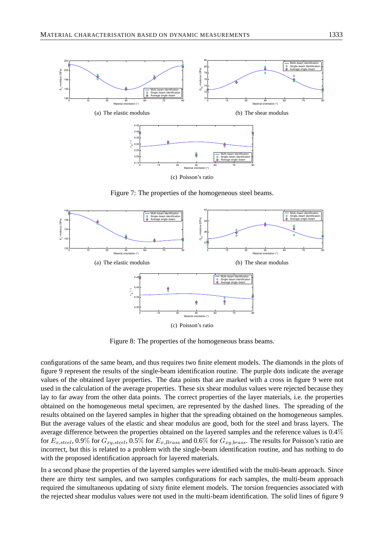

Figure 7: The properties of the homogeneous steel beams.



Figure 8: The properties of the homogeneous brass beams.

configurations of the same beam, and thus requires two finite element models. The diamonds in the plots of figure 9 represent the results of the single-beam identification routine. The purple dots indicate the average values of the obtained layer properties. The data points that are marked with a cross in figure 9 were not used in the calculation of the average properties. These six shear modulus values were rejected because they lay to far away from the other data points. The correct properties of the layer materials, i.e. the properties obtained on the homogeneous metal specimen, are represented by the dashed lines. The spreading of the results obtained on the layered samples in higher that the spreading obtained on the homogeneous samples. But the average values of the elastic and shear modulus are good, both for the steel and brass layers. The average difference between the properties obtained on the layered samples and the reference values is 0.4% for  $E_{x,steel}$ , 0.9% for  $G_{xy,steel}$ , 0.5% for  $E_{x,Brass}$  and 0.6% for  $G_{xy,brass}$ . The results for Poisson's ratio are incorrect, but this is related to a problem with the single-beam identification routine, and has nothing to do with the proposed identification approach for layered materials.

In a second phase the properties of the layered samples were identified with the multi-beam approach. Since there are thirty test samples, and two samples configurations for each samples, the multi-beam approach required the simultaneous updating of sixty finite element models. The torsion frequencies associated with the rejected shear modulus values were not used in the multi-beam identification. The solid lines of figure 9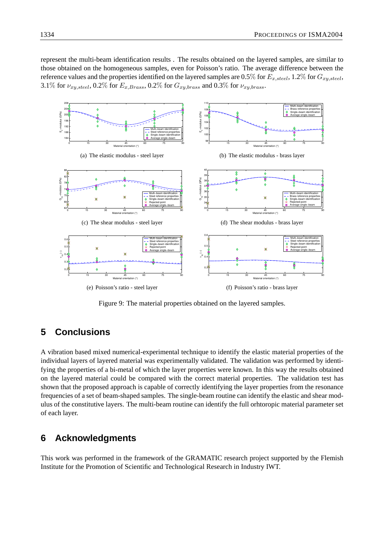represent the multi-beam identification results . The results obtained on the layered samples, are similar to those obtained on the homogeneous samples, even for Poisson's ratio. The average difference between the reference values and the properties identified on the layered samples are 0.5% for  $E_{x, steel}$ , 1.2% for  $G_{xy, steel}$ , 3.1% for  $\nu_{xy,steel}$ , 0.2% for  $E_{x,Brass}$ , 0.2% for  $G_{xy,brass}$  and 0.3% for  $\nu_{xy,brass}$ .



Figure 9: The material properties obtained on the layered samples.

# **5 Conclusions**

A vibration based mixed numerical-experimental technique to identify the elastic material properties of the individual layers of layered material was experimentally validated. The validation was performed by identifying the properties of a bi-metal of which the layer properties were known. In this way the results obtained on the layered material could be compared with the correct material properties. The validation test has shown that the proposed approach is capable of correctly identifying the layer properties from the resonance frequencies of a set of beam-shaped samples. The single-beam routine can identify the elastic and shear modulus of the constitutive layers. The multi-beam routine can identify the full orhtoropic material parameter set of each layer.

# **6 Acknowledgments**

This work was performed in the framework of the GRAMATIC research project supported by the Flemish Institute for the Promotion of Scientific and Technological Research in Industry IWT.